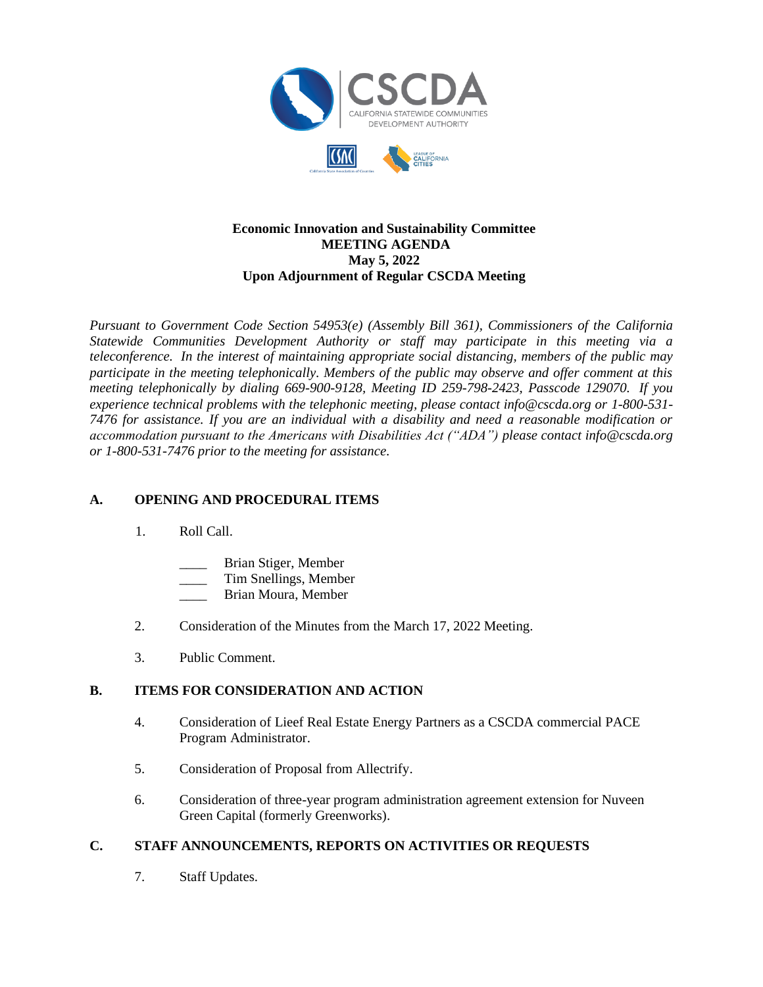

## **Economic Innovation and Sustainability Committee MEETING AGENDA May 5, 2022 Upon Adjournment of Regular CSCDA Meeting**

*Pursuant to Government Code Section 54953(e) (Assembly Bill 361), Commissioners of the California Statewide Communities Development Authority or staff may participate in this meeting via a teleconference. In the interest of maintaining appropriate social distancing, members of the public may participate in the meeting telephonically. Members of the public may observe and offer comment at this meeting telephonically by dialing 669-900-9128, Meeting ID 259-798-2423, Passcode 129070. If you experience technical problems with the telephonic meeting, please contact info@cscda.org or 1-800-531- 7476 for assistance. If you are an individual with a disability and need a reasonable modification or accommodation pursuant to the Americans with Disabilities Act ("ADA") please contact info@cscda.org or 1-800-531-7476 prior to the meeting for assistance.*

## **A. OPENING AND PROCEDURAL ITEMS**

- 1. Roll Call.
	- \_\_\_\_ Brian Stiger, Member
	- \_\_\_\_ Tim Snellings, Member
	- \_\_\_\_ Brian Moura, Member
- 2. Consideration of the Minutes from the March 17, 2022 Meeting.
- 3. Public Comment.

## **B. ITEMS FOR CONSIDERATION AND ACTION**

- 4. Consideration of Lieef Real Estate Energy Partners as a CSCDA commercial PACE Program Administrator.
- 5. Consideration of Proposal from Allectrify.
- 6. Consideration of three-year program administration agreement extension for Nuveen Green Capital (formerly Greenworks).

## **C. STAFF ANNOUNCEMENTS, REPORTS ON ACTIVITIES OR REQUESTS**

7. Staff Updates.